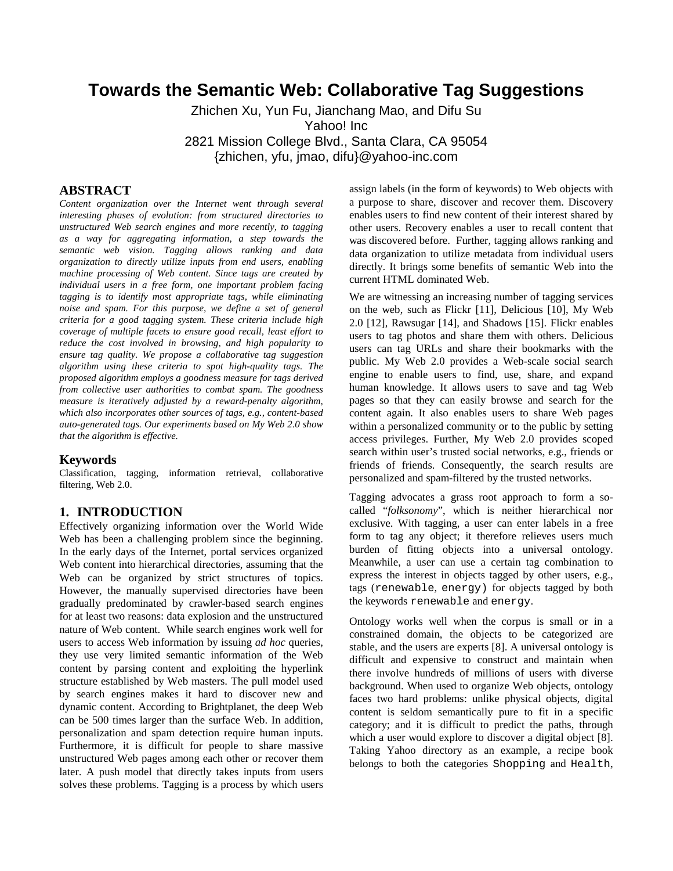# **Towards the Semantic Web: Collaborative Tag Suggestions**

Zhichen Xu, Yun Fu, Jianchang Mao, and Difu Su Yahoo! Inc 2821 Mission College Blvd., Santa Clara, CA 95054 {zhichen, yfu, jmao, difu}@yahoo-inc.com

### **ABSTRACT**

*Content organization over the Internet went through several interesting phases of evolution: from structured directories to unstructured Web search engines and more recently, to tagging as a way for aggregating information, a step towards the semantic web vision. Tagging allows ranking and data organization to directly utilize inputs from end users, enabling machine processing of Web content. Since tags are created by individual users in a free form, one important problem facing tagging is to identify most appropriate tags, while eliminating noise and spam. For this purpose, we define a set of general criteria for a good tagging system. These criteria include high coverage of multiple facets to ensure good recall, least effort to reduce the cost involved in browsing, and high popularity to ensure tag quality. We propose a collaborative tag suggestion algorithm using these criteria to spot high-quality tags. The proposed algorithm employs a goodness measure for tags derived from collective user authorities to combat spam. The goodness measure is iteratively adjusted by a reward-penalty algorithm, which also incorporates other sources of tags, e.g., content-based auto-generated tags. Our experiments based on My Web 2.0 show that the algorithm is effective.* 

### **Keywords**

Classification, tagging, information retrieval, collaborative filtering, Web 2.0.

### **1. INTRODUCTION**

Effectively organizing information over the World Wide Web has been a challenging problem since the beginning. In the early days of the Internet, portal services organized Web content into hierarchical directories, assuming that the Web can be organized by strict structures of topics. However, the manually supervised directories have been gradually predominated by crawler-based search engines for at least two reasons: data explosion and the unstructured nature of Web content. While search engines work well for users to access Web information by issuing *ad hoc* queries, they use very limited semantic information of the Web content by parsing content and exploiting the hyperlink structure established by Web masters. The pull model used by search engines makes it hard to discover new and dynamic content. According to Brightplanet, the deep Web can be 500 times larger than the surface Web. In addition, personalization and spam detection require human inputs. Furthermore, it is difficult for people to share massive unstructured Web pages among each other or recover them later. A push model that directly takes inputs from users solves these problems. Tagging is a process by which users

assign labels (in the form of keywords) to Web objects with a purpose to share, discover and recover them. Discovery enables users to find new content of their interest shared by other users. Recovery enables a user to recall content that was discovered before. Further, tagging allows ranking and data organization to utilize metadata from individual users directly. It brings some benefits of semantic Web into the current HTML dominated Web.

We are witnessing an increasing number of tagging services on the web, such as Flickr [11], Delicious [10], My Web 2.0 [12], Rawsugar [14], and Shadows [15]. Flickr enables users to tag photos and share them with others. Delicious users can tag URLs and share their bookmarks with the public. My Web 2.0 provides a Web-scale social search engine to enable users to find, use, share, and expand human knowledge. It allows users to save and tag Web pages so that they can easily browse and search for the content again. It also enables users to share Web pages within a personalized community or to the public by setting access privileges. Further, My Web 2.0 provides scoped search within user's trusted social networks, e.g., friends or friends of friends. Consequently, the search results are personalized and spam-filtered by the trusted networks.

Tagging advocates a grass root approach to form a socalled "*folksonomy*", which is neither hierarchical nor exclusive. With tagging, a user can enter labels in a free form to tag any object; it therefore relieves users much burden of fitting objects into a universal ontology. Meanwhile, a user can use a certain tag combination to express the interest in objects tagged by other users, e.g., tags (renewable, energy) for objects tagged by both the keywords renewable and energy.

Ontology works well when the corpus is small or in a constrained domain, the objects to be categorized are stable, and the users are experts [8]. A universal ontology is difficult and expensive to construct and maintain when there involve hundreds of millions of users with diverse background. When used to organize Web objects, ontology faces two hard problems: unlike physical objects, digital content is seldom semantically pure to fit in a specific category; and it is difficult to predict the paths, through which a user would explore to discover a digital object [8]. Taking Yahoo directory as an example, a recipe book belongs to both the categories Shopping and Health,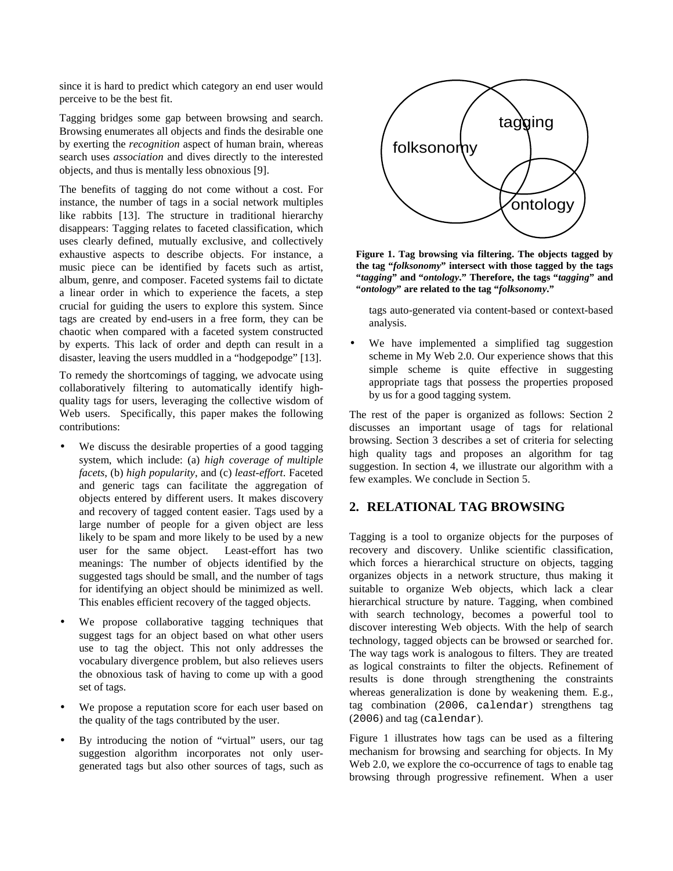since it is hard to predict which category an end user would perceive to be the best fit.

Tagging bridges some gap between browsing and search. Browsing enumerates all objects and finds the desirable one by exerting the *recognition* aspect of human brain, whereas search uses *association* and dives directly to the interested objects, and thus is mentally less obnoxious [9].

The benefits of tagging do not come without a cost. For instance, the number of tags in a social network multiples like rabbits [13]. The structure in traditional hierarchy disappears: Tagging relates to faceted classification, which uses clearly defined, mutually exclusive, and collectively exhaustive aspects to describe objects. For instance, a music piece can be identified by facets such as artist, album, genre, and composer. Faceted systems fail to dictate a linear order in which to experience the facets, a step crucial for guiding the users to explore this system. Since tags are created by end-users in a free form, they can be chaotic when compared with a faceted system constructed by experts. This lack of order and depth can result in a disaster, leaving the users muddled in a "hodgepodge" [13].

To remedy the shortcomings of tagging, we advocate using collaboratively filtering to automatically identify highquality tags for users, leveraging the collective wisdom of Web users. Specifically, this paper makes the following contributions:

- We discuss the desirable properties of a good tagging system, which include: (a) *high coverage of multiple facets*, (b) *high popularity*, and (c) *least-effort*. Faceted and generic tags can facilitate the aggregation of objects entered by different users. It makes discovery and recovery of tagged content easier. Tags used by a large number of people for a given object are less likely to be spam and more likely to be used by a new user for the same object. Least-effort has two meanings: The number of objects identified by the suggested tags should be small, and the number of tags for identifying an object should be minimized as well. This enables efficient recovery of the tagged objects.
- We propose collaborative tagging techniques that suggest tags for an object based on what other users use to tag the object. This not only addresses the vocabulary divergence problem, but also relieves users the obnoxious task of having to come up with a good set of tags.
- We propose a reputation score for each user based on the quality of the tags contributed by the user.
- By introducing the notion of "virtual" users, our tag suggestion algorithm incorporates not only usergenerated tags but also other sources of tags, such as



**Figure 1. Tag browsing via filtering. The objects tagged by the tag "***folksonomy***" intersect with those tagged by the tags "***tagging***" and "***ontology***." Therefore, the tags "***tagging***" and "***ontology***" are related to the tag "***folksonomy***."** 

tags auto-generated via content-based or context-based analysis.

We have implemented a simplified tag suggestion scheme in My Web 2.0. Our experience shows that this simple scheme is quite effective in suggesting appropriate tags that possess the properties proposed by us for a good tagging system.

The rest of the paper is organized as follows: Section 2 discusses an important usage of tags for relational browsing. Section 3 describes a set of criteria for selecting high quality tags and proposes an algorithm for tag suggestion. In section 4, we illustrate our algorithm with a few examples. We conclude in Section 5.

# **2. RELATIONAL TAG BROWSING**

Tagging is a tool to organize objects for the purposes of recovery and discovery. Unlike scientific classification, which forces a hierarchical structure on objects, tagging organizes objects in a network structure, thus making it suitable to organize Web objects, which lack a clear hierarchical structure by nature. Tagging, when combined with search technology, becomes a powerful tool to discover interesting Web objects. With the help of search technology, tagged objects can be browsed or searched for. The way tags work is analogous to filters. They are treated as logical constraints to filter the objects. Refinement of results is done through strengthening the constraints whereas generalization is done by weakening them. E.g., tag combination (2006, calendar) strengthens tag (2006) and tag (calendar).

Figure 1 illustrates how tags can be used as a filtering mechanism for browsing and searching for objects. In My Web 2.0, we explore the co-occurrence of tags to enable tag browsing through progressive refinement. When a user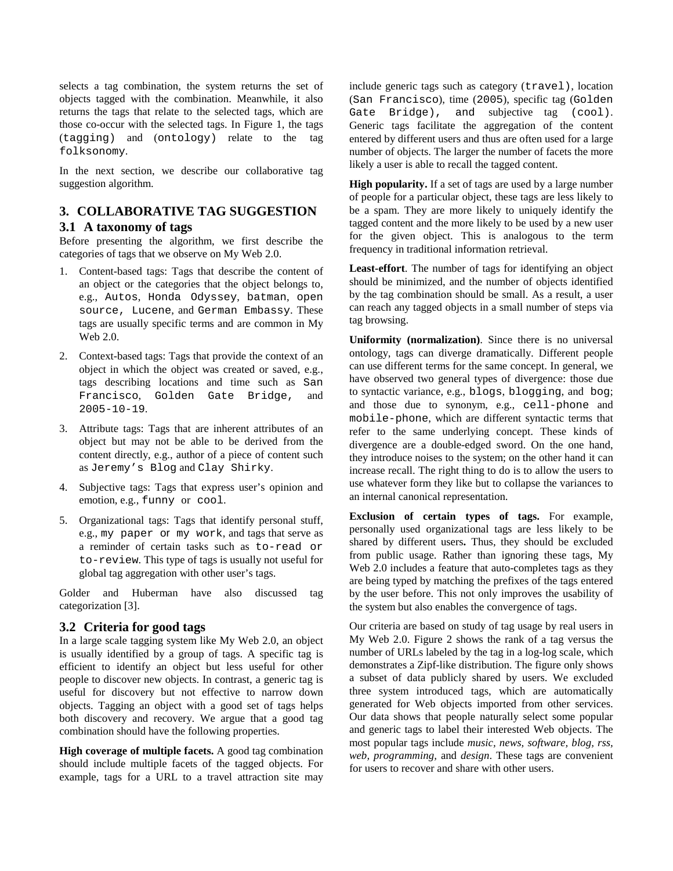selects a tag combination, the system returns the set of objects tagged with the combination. Meanwhile, it also returns the tags that relate to the selected tags, which are those co-occur with the selected tags. In Figure 1, the tags (tagging) and (ontology) relate to the tag folksonomy.

In the next section, we describe our collaborative tag suggestion algorithm.

# **3. COLLABORATIVE TAG SUGGESTION**

## **3.1 A taxonomy of tags**

Before presenting the algorithm, we first describe the categories of tags that we observe on My Web 2.0.

- 1. Content-based tags: Tags that describe the content of an object or the categories that the object belongs to, e.g., Autos, Honda Odyssey, batman, open source, Lucene, and German Embassy. These tags are usually specific terms and are common in My Web 2.0.
- 2. Context-based tags: Tags that provide the context of an object in which the object was created or saved, e.g., tags describing locations and time such as San Francisco, Golden Gate Bridge, and 2005-10-19.
- 3. Attribute tags: Tags that are inherent attributes of an object but may not be able to be derived from the content directly, e.g., author of a piece of content such as Jeremy's Blog and Clay Shirky.
- 4. Subjective tags: Tags that express user's opinion and emotion, e.g., funny or cool.
- 5. Organizational tags: Tags that identify personal stuff, e.g., my paper or my work, and tags that serve as a reminder of certain tasks such as to-read or to-review. This type of tags is usually not useful for global tag aggregation with other user's tags.

Golder and Huberman have also discussed tag categorization [3].

## **3.2 Criteria for good tags**

In a large scale tagging system like My Web 2.0, an object is usually identified by a group of tags. A specific tag is efficient to identify an object but less useful for other people to discover new objects. In contrast, a generic tag is useful for discovery but not effective to narrow down objects. Tagging an object with a good set of tags helps both discovery and recovery. We argue that a good tag combination should have the following properties.

**High coverage of multiple facets.** A good tag combination should include multiple facets of the tagged objects. For example, tags for a URL to a travel attraction site may include generic tags such as category (travel), location (San Francisco), time (2005), specific tag (Golden Gate Bridge), and subjective tag (cool). Generic tags facilitate the aggregation of the content entered by different users and thus are often used for a large number of objects. The larger the number of facets the more likely a user is able to recall the tagged content.

**High popularity.** If a set of tags are used by a large number of people for a particular object, these tags are less likely to be a spam. They are more likely to uniquely identify the tagged content and the more likely to be used by a new user for the given object. This is analogous to the term frequency in traditional information retrieval.

**Least-effort**. The number of tags for identifying an object should be minimized, and the number of objects identified by the tag combination should be small. As a result, a user can reach any tagged objects in a small number of steps via tag browsing.

**Uniformity (normalization)**. Since there is no universal ontology, tags can diverge dramatically. Different people can use different terms for the same concept. In general, we have observed two general types of divergence: those due to syntactic variance, e.g., blogs, blogging, and bog; and those due to synonym, e.g., cell-phone and mobile-phone, which are different syntactic terms that refer to the same underlying concept. These kinds of divergence are a double-edged sword. On the one hand, they introduce noises to the system; on the other hand it can increase recall. The right thing to do is to allow the users to use whatever form they like but to collapse the variances to an internal canonical representation.

**Exclusion of certain types of tags.** For example, personally used organizational tags are less likely to be shared by different users**.** Thus, they should be excluded from public usage. Rather than ignoring these tags, My Web 2.0 includes a feature that auto-completes tags as they are being typed by matching the prefixes of the tags entered by the user before. This not only improves the usability of the system but also enables the convergence of tags.

Our criteria are based on study of tag usage by real users in My Web 2.0. Figure 2 shows the rank of a tag versus the number of URLs labeled by the tag in a log-log scale, which demonstrates a Zipf-like distribution. The figure only shows a subset of data publicly shared by users. We excluded three system introduced tags, which are automatically generated for Web objects imported from other services. Our data shows that people naturally select some popular and generic tags to label their interested Web objects. The most popular tags include *music, news, software, blog, rss, web, programming,* and *design*. These tags are convenient for users to recover and share with other users.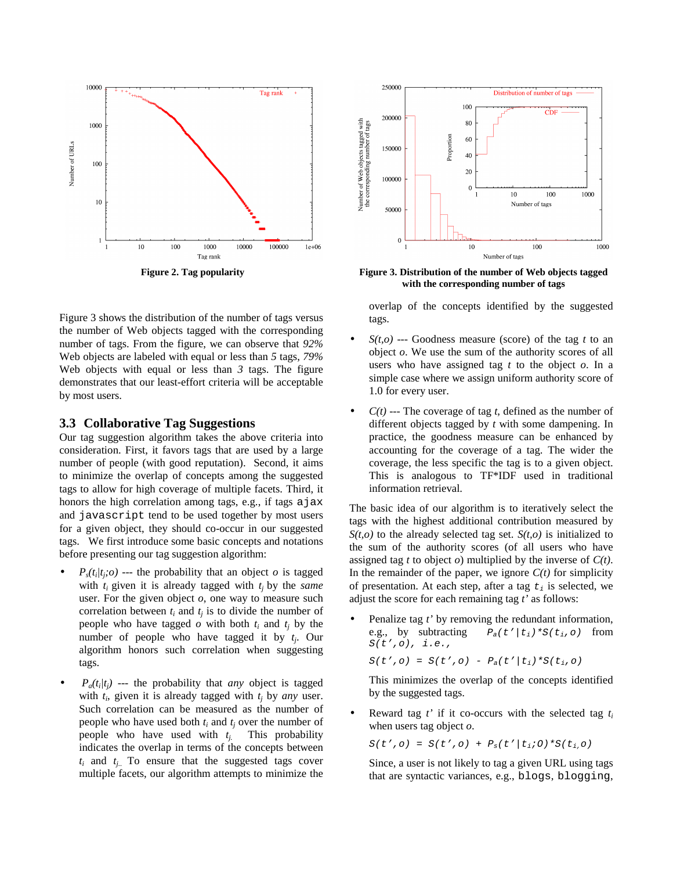

Figure 3 shows the distribution of the number of tags versus the number of Web objects tagged with the corresponding number of tags. From the figure, we can observe that *92%*  Web objects are labeled with equal or less than *5* tags, *79%* Web objects with equal or less than *3* tags. The figure demonstrates that our least-effort criteria will be acceptable by most users.

#### **3.3 Collaborative Tag Suggestions**

Our tag suggestion algorithm takes the above criteria into consideration. First, it favors tags that are used by a large number of people (with good reputation). Second, it aims to minimize the overlap of concepts among the suggested tags to allow for high coverage of multiple facets. Third, it honors the high correlation among tags, e.g., if tags a jax and javascript tend to be used together by most users for a given object, they should co-occur in our suggested tags. We first introduce some basic concepts and notations before presenting our tag suggestion algorithm:

- $P_s(t_i|t_j; o)$  --- the probability that an object *o* is tagged with  $t_i$  given it is already tagged with  $t_i$  by the *same* user. For the given object *o*, one way to measure such correlation between  $t_i$  and  $t_j$  is to divide the number of people who have tagged  $o$  with both  $t_i$  and  $t_j$  by the number of people who have tagged it by *t<sup>j</sup>* . Our algorithm honors such correlation when suggesting tags.
- $P_a(t_i|t_j)$  --- the probability that *any* object is tagged with  $t_i$ , given it is already tagged with  $t_j$  by *any* user. Such correlation can be measured as the number of people who have used both  $t_i$  and  $t_j$  over the number of people who have used with  $t_i$ . This probability indicates the overlap in terms of the concepts between  $t_i$  and  $t_{j_i}$ . To ensure that the suggested tags cover multiple facets, our algorithm attempts to minimize the



**Figure 2. Tag popularity Figure 3. Distribution of the number of Web objects tagged with the corresponding number of tags** 

overlap of the concepts identified by the suggested tags.

- $S(t, o)$  --- Goodness measure (score) of the tag t to an object *o*. We use the sum of the authority scores of all users who have assigned tag *t* to the object *o*. In a simple case where we assign uniform authority score of 1.0 for every user.
- $C(t)$  --- The coverage of tag *t*, defined as the number of different objects tagged by *t* with some dampening. In practice, the goodness measure can be enhanced by accounting for the coverage of a tag. The wider the coverage, the less specific the tag is to a given object. This is analogous to TF\*IDF used in traditional information retrieval.

The basic idea of our algorithm is to iteratively select the tags with the highest additional contribution measured by  $S(t, o)$  to the already selected tag set.  $S(t, o)$  is initialized to the sum of the authority scores (of all users who have assigned tag *t* to object *o*) multiplied by the inverse of *C(t)*. In the remainder of the paper, we ignore  $C(t)$  for simplicity of presentation. At each step, after a tag  $t_i$  is selected, we adjust the score for each remaining tag *t'* as follows:

• Penalize tag *t'* by removing the redundant information, e.g., by subtracting  $P_a(t'|t_i)*S(t_i,o)$  from  $S(t',o), i.e.,$ 

$$
S(t', o) = S(t', o) - P_a(t'/t_i) * S(t_i, o)
$$

This minimizes the overlap of the concepts identified by the suggested tags.

• Reward tag *t'* if it co-occurs with the selected tag *t<sup>i</sup>* when users tag object *o*.

 $S(t', o) = S(t', o) + P_s(t'/t_i; o) * S(t_i, o)$ 

Since, a user is not likely to tag a given URL using tags that are syntactic variances, e.g., blogs, blogging,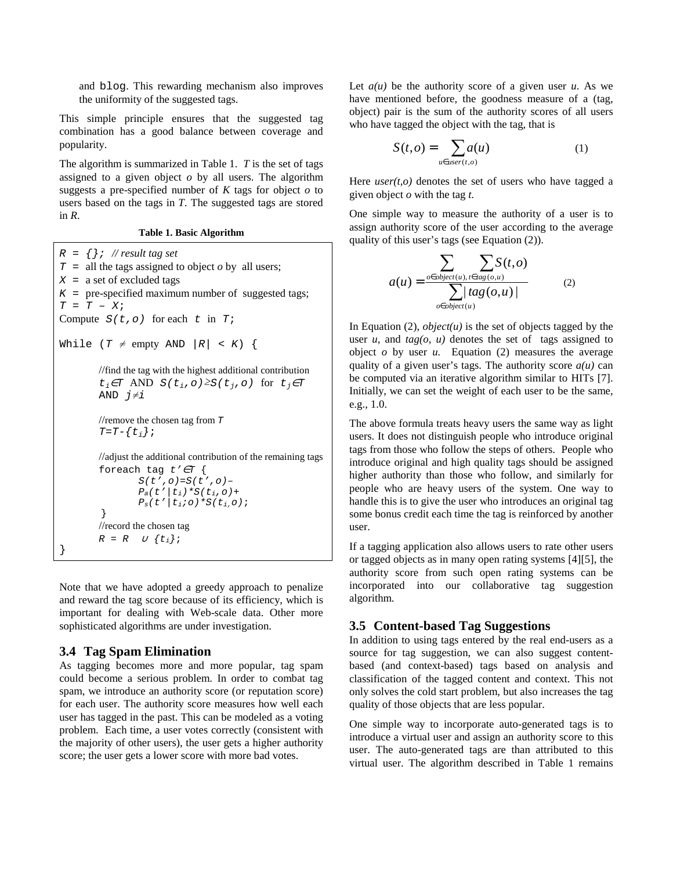and blog. This rewarding mechanism also improves the uniformity of the suggested tags.

This simple principle ensures that the suggested tag combination has a good balance between coverage and popularity.

The algorithm is summarized in Table 1. *T* is the set of tags assigned to a given object *o* by all users. The algorithm suggests a pre-specified number of  $K$  tags for object  $o$  to users based on the tags in *T*. The suggested tags are stored in *R*.

#### **Table 1. Basic Algorithm**

```
R = \{\}; // result tag set
T = all the tags assigned to object o by all users;
X = a set of excluded tags
K = pre-specified maximum number of suggested tags;
T = T - XiCompute S(t, o) for each t in T;
While (T \neq \text{empty AND } |R| < K) {
        //find the tag with the highest additional contribution
         t_i \in T AND S(t_i, o) \geq S(t_i, o) for t_i \in TAND j≠i 
         //remove the chosen tag from TT=T-\{\ t_i\};
        //adjust the additional contribution of the remaining tags
         foreach tag t' \in T {
                 S(t',o)=S(t',o)-P_a(t'|t_i)*S(t_i,o)+P_s(t'/t_i; o) * S(t_i, o); } 
        //record the chosen tag
         R = R \cup \{t_i\};}
```
Note that we have adopted a greedy approach to penalize and reward the tag score because of its efficiency, which is important for dealing with Web-scale data. Other more sophisticated algorithms are under investigation.

#### **3.4 Tag Spam Elimination**

As tagging becomes more and more popular, tag spam could become a serious problem. In order to combat tag spam, we introduce an authority score (or reputation score) for each user. The authority score measures how well each user has tagged in the past. This can be modeled as a voting problem. Each time, a user votes correctly (consistent with the majority of other users), the user gets a higher authority score; the user gets a lower score with more bad votes.

Let  $a(u)$  be the authority score of a given user  $u$ . As we have mentioned before, the goodness measure of a (tag, object) pair is the sum of the authority scores of all users who have tagged the object with the tag, that is

$$
S(t, o) = \sum_{u \in user(t, o)} a(u) \tag{1}
$$

Here  $user(t, o)$  denotes the set of users who have tagged a given object *o* with the tag *t*.

One simple way to measure the authority of a user is to assign authority score of the user according to the average quality of this user's tags (see Equation (2)).

$$
a(u) = \frac{\sum_{o \in object(u), t \in tag(o, u)} S(t, o)}{\sum_{o \in object(u)} tag(o, u)}
$$
(2)

In Equation  $(2)$ , *object* $(u)$  is the set of objects tagged by the user  $u$ , and  $tag(o, u)$  denotes the set of tags assigned to object  $o$  by user  $u$ . Equation (2) measures the average quality of a given user's tags. The authority score  $a(u)$  can be computed via an iterative algorithm similar to HITs [7]. Initially, we can set the weight of each user to be the same, e.g., 1.0.

The above formula treats heavy users the same way as light users. It does not distinguish people who introduce original tags from those who follow the steps of others. People who introduce original and high quality tags should be assigned higher authority than those who follow, and similarly for people who are heavy users of the system. One way to handle this is to give the user who introduces an original tag some bonus credit each time the tag is reinforced by another user.

If a tagging application also allows users to rate other users or tagged objects as in many open rating systems [4][5], the authority score from such open rating systems can be incorporated into our collaborative tag suggestion algorithm.

### **3.5 Content-based Tag Suggestions**

In addition to using tags entered by the real end-users as a source for tag suggestion, we can also suggest contentbased (and context-based) tags based on analysis and classification of the tagged content and context. This not only solves the cold start problem, but also increases the tag quality of those objects that are less popular.

One simple way to incorporate auto-generated tags is to introduce a virtual user and assign an authority score to this user. The auto-generated tags are than attributed to this virtual user. The algorithm described in Table 1 remains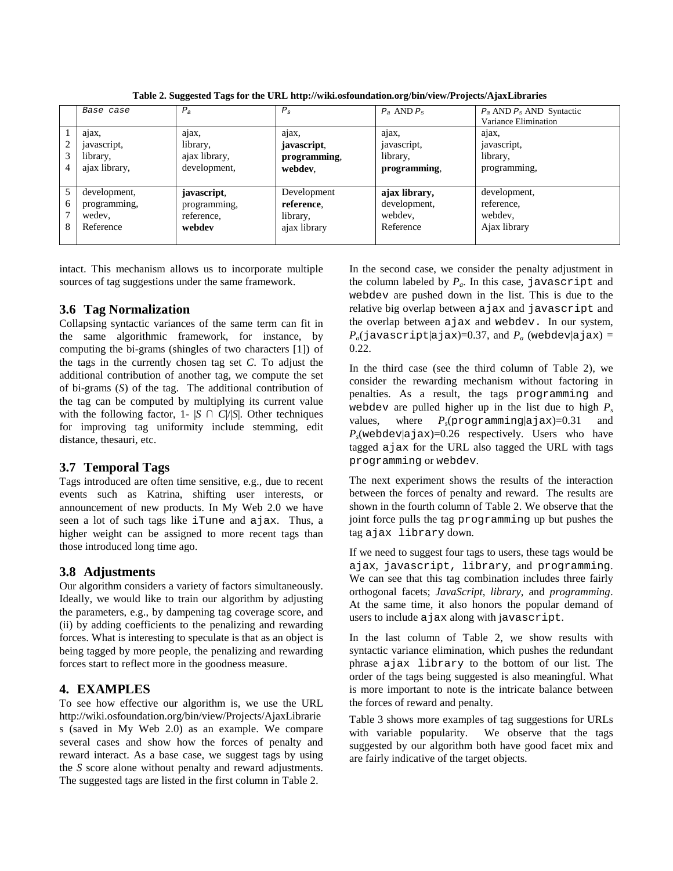|        | Base case                                           | $P_{\scriptscriptstyle{A}}$                         | $P_{\rm s}$                                           | $P_a$ AND $P_s$                                       | $P_a$ AND $P_s$ AND Syntactic<br>Variance Elimination |
|--------|-----------------------------------------------------|-----------------------------------------------------|-------------------------------------------------------|-------------------------------------------------------|-------------------------------------------------------|
| 2<br>3 | ajax,<br>javascript,<br>library,<br>ajax library,   | ajax,<br>library,<br>ajax library,<br>development,  | ajax,<br>javascript,<br>programming,<br>webdev.       | ajax,<br>javascript,<br>library,<br>programming,      | ajax,<br>javascript,<br>library,<br>programming,      |
| 6<br>8 | development,<br>programming,<br>wedev,<br>Reference | javascript,<br>programming,<br>reference,<br>webdev | Development<br>reference.<br>library,<br>ajax library | ajax library,<br>development,<br>webdev,<br>Reference | development,<br>reference,<br>webdev,<br>Ajax library |

**Table 2. Suggested Tags for the URL http://wiki.osfoundation.org/bin/view/Projects/AjaxLibraries** 

intact. This mechanism allows us to incorporate multiple sources of tag suggestions under the same framework.

## **3.6 Tag Normalization**

Collapsing syntactic variances of the same term can fit in the same algorithmic framework, for instance, by computing the bi-grams (shingles of two characters [1]) of the tags in the currently chosen tag set *C*. To adjust the additional contribution of another tag, we compute the set of bi-grams (*S*) of the tag. The additional contribution of the tag can be computed by multiplying its current value with the following factor, 1-  $|S \cap C|/|S|$ . Other techniques for improving tag uniformity include stemming, edit distance, thesauri, etc.

# **3.7 Temporal Tags**

Tags introduced are often time sensitive, e.g., due to recent events such as Katrina, shifting user interests, or announcement of new products. In My Web 2.0 we have seen a lot of such tags like iTune and ajax. Thus, a higher weight can be assigned to more recent tags than those introduced long time ago.

# **3.8 Adjustments**

Our algorithm considers a variety of factors simultaneously. Ideally, we would like to train our algorithm by adjusting the parameters, e.g., by dampening tag coverage score, and (ii) by adding coefficients to the penalizing and rewarding forces. What is interesting to speculate is that as an object is being tagged by more people, the penalizing and rewarding forces start to reflect more in the goodness measure.

# **4. EXAMPLES**

To see how effective our algorithm is, we use the URL http://wiki.osfoundation.org/bin/view/Projects/AjaxLibrarie s (saved in My Web 2.0) as an example. We compare several cases and show how the forces of penalty and reward interact. As a base case, we suggest tags by using the *S* score alone without penalty and reward adjustments. The suggested tags are listed in the first column in Table 2.

In the second case, we consider the penalty adjustment in the column labeled by  $P_a$ . In this case, javascript and webdev are pushed down in the list. This is due to the relative big overlap between ajax and javascript and the overlap between ajax and webdev. In our system,  $P_a$ (javascript|ajax)=0.37, and  $P_a$  (webdev|ajax) = 0.22.

In the third case (see the third column of Table 2), we consider the rewarding mechanism without factoring in penalties. As a result, the tags programming and webdev are pulled higher up in the list due to high *P<sup>s</sup>* values, where  $P_0$ (programming  $|a|$ jax)=0.31 and  $P_s$ (webdev|ajax)=0.26 respectively. Users who have tagged ajax for the URL also tagged the URL with tags programming or webdev.

The next experiment shows the results of the interaction between the forces of penalty and reward. The results are shown in the fourth column of Table 2. We observe that the joint force pulls the tag programming up but pushes the tag ajax library down.

If we need to suggest four tags to users, these tags would be ajax, javascript, library, and programming. We can see that this tag combination includes three fairly orthogonal facets; *JavaScript*, *library*, and *programming*. At the same time, it also honors the popular demand of users to include ajax along with javascript.

In the last column of Table 2, we show results with syntactic variance elimination, which pushes the redundant phrase ajax library to the bottom of our list. The order of the tags being suggested is also meaningful. What is more important to note is the intricate balance between the forces of reward and penalty.

Table 3 shows more examples of tag suggestions for URLs with variable popularity. We observe that the tags suggested by our algorithm both have good facet mix and are fairly indicative of the target objects.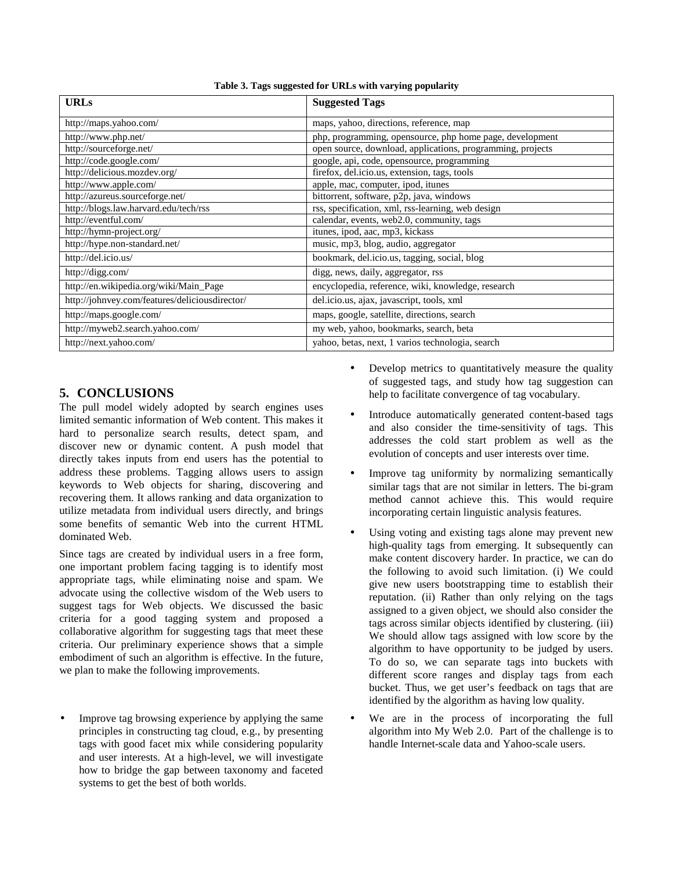| <b>URLs</b>                                    | <b>Suggested Tags</b>                                      |  |  |
|------------------------------------------------|------------------------------------------------------------|--|--|
| http://maps.yahoo.com/                         | maps, yahoo, directions, reference, map                    |  |  |
| http://www.php.net/                            | php, programming, opensource, php home page, development   |  |  |
| http://sourceforge.net/                        | open source, download, applications, programming, projects |  |  |
| http://code.google.com/                        | google, api, code, opensource, programming                 |  |  |
| http://delicious.mozdev.org/                   | firefox, del.icio.us, extension, tags, tools               |  |  |
| http://www.apple.com/                          | apple, mac, computer, ipod, itunes                         |  |  |
| http://azureus.sourceforge.net/                | bittorrent, software, p2p, java, windows                   |  |  |
| http://blogs.law.harvard.edu/tech/rss          | rss, specification, xml, rss-learning, web design          |  |  |
| http://eventful.com/                           | calendar, events, web2.0, community, tags                  |  |  |
| http://hymn-project.org/                       | itunes, ipod, aac, mp3, kickass                            |  |  |
| http://hype.non-standard.net/                  | music, mp3, blog, audio, aggregator                        |  |  |
| http://del.icio.us/                            | bookmark, del.icio.us, tagging, social, blog               |  |  |
| http://digg.com/                               | digg, news, daily, aggregator, rss                         |  |  |
| http://en.wikipedia.org/wiki/Main_Page         | encyclopedia, reference, wiki, knowledge, research         |  |  |
| http://johnvey.com/features/deliciousdirector/ | del.icio.us, ajax, javascript, tools, xml                  |  |  |
| http://maps.google.com/                        | maps, google, satellite, directions, search                |  |  |
| http://myweb2.search.yahoo.com/                | my web, yahoo, bookmarks, search, beta                     |  |  |
| http://next.yahoo.com/                         | vahoo, betas, next, 1 varios technologia, search           |  |  |

#### **Table 3. Tags suggested for URLs with varying popularity**

# **5. CONCLUSIONS**

The pull model widely adopted by search engines uses limited semantic information of Web content. This makes it hard to personalize search results, detect spam, and discover new or dynamic content. A push model that directly takes inputs from end users has the potential to address these problems. Tagging allows users to assign keywords to Web objects for sharing, discovering and recovering them. It allows ranking and data organization to utilize metadata from individual users directly, and brings some benefits of semantic Web into the current HTML dominated Web.

Since tags are created by individual users in a free form, one important problem facing tagging is to identify most appropriate tags, while eliminating noise and spam. We advocate using the collective wisdom of the Web users to suggest tags for Web objects. We discussed the basic criteria for a good tagging system and proposed a collaborative algorithm for suggesting tags that meet these criteria. Our preliminary experience shows that a simple embodiment of such an algorithm is effective. In the future, we plan to make the following improvements.

Improve tag browsing experience by applying the same principles in constructing tag cloud, e.g., by presenting tags with good facet mix while considering popularity and user interests. At a high-level, we will investigate how to bridge the gap between taxonomy and faceted systems to get the best of both worlds.

- Develop metrics to quantitatively measure the quality of suggested tags, and study how tag suggestion can help to facilitate convergence of tag vocabulary.
- Introduce automatically generated content-based tags and also consider the time-sensitivity of tags. This addresses the cold start problem as well as the evolution of concepts and user interests over time.
- Improve tag uniformity by normalizing semantically similar tags that are not similar in letters. The bi-gram method cannot achieve this. This would require incorporating certain linguistic analysis features.
- Using voting and existing tags alone may prevent new high-quality tags from emerging. It subsequently can make content discovery harder. In practice, we can do the following to avoid such limitation. (i) We could give new users bootstrapping time to establish their reputation. (ii) Rather than only relying on the tags assigned to a given object, we should also consider the tags across similar objects identified by clustering. (iii) We should allow tags assigned with low score by the algorithm to have opportunity to be judged by users. To do so, we can separate tags into buckets with different score ranges and display tags from each bucket. Thus, we get user's feedback on tags that are identified by the algorithm as having low quality.
- We are in the process of incorporating the full algorithm into My Web 2.0. Part of the challenge is to handle Internet-scale data and Yahoo-scale users.